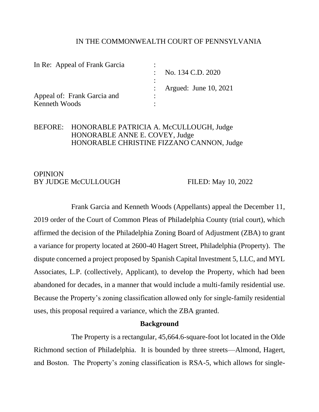#### IN THE COMMONWEALTH COURT OF PENNSYLVANIA

| In Re: Appeal of Frank Garcia |                         |
|-------------------------------|-------------------------|
|                               | : No. 134 C.D. 2020     |
|                               | : Argued: June 10, 2021 |
| Appeal of: Frank Garcia and   |                         |
| Kenneth Woods                 |                         |

# BEFORE: HONORABLE PATRICIA A. McCULLOUGH, Judge HONORABLE ANNE E. COVEY, Judge HONORABLE CHRISTINE FIZZANO CANNON, Judge

### OPINION BY JUDGE McCULLOUGH FILED: May 10, 2022

Frank Garcia and Kenneth Woods (Appellants) appeal the December 11, 2019 order of the Court of Common Pleas of Philadelphia County (trial court), which affirmed the decision of the Philadelphia Zoning Board of Adjustment (ZBA) to grant a variance for property located at 2600-40 Hagert Street, Philadelphia (Property). The dispute concerned a project proposed by Spanish Capital Investment 5, LLC, and MYL Associates, L.P. (collectively, Applicant), to develop the Property, which had been abandoned for decades, in a manner that would include a multi-family residential use. Because the Property's zoning classification allowed only for single-family residential uses, this proposal required a variance, which the ZBA granted.

### **Background**

The Property is a rectangular, 45,664.6-square-foot lot located in the Olde Richmond section of Philadelphia. It is bounded by three streets—Almond, Hagert, and Boston. The Property's zoning classification is RSA-5, which allows for single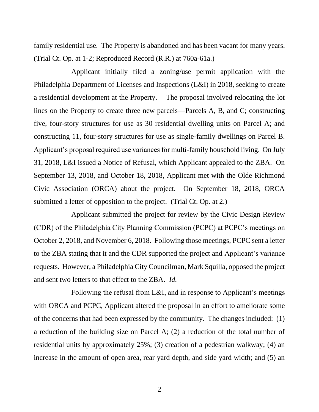family residential use. The Property is abandoned and has been vacant for many years. (Trial Ct. Op. at 1-2; Reproduced Record (R.R.) at 760a-61a.)

Applicant initially filed a zoning/use permit application with the Philadelphia Department of Licenses and Inspections (L&I) in 2018, seeking to create a residential development at the Property. The proposal involved relocating the lot lines on the Property to create three new parcels—Parcels A, B, and C; constructing five, four-story structures for use as 30 residential dwelling units on Parcel A; and constructing 11, four-story structures for use as single-family dwellings on Parcel B. Applicant's proposal required use variances for multi-family household living. On July 31, 2018, L&I issued a Notice of Refusal, which Applicant appealed to the ZBA. On September 13, 2018, and October 18, 2018, Applicant met with the Olde Richmond Civic Association (ORCA) about the project. On September 18, 2018, ORCA submitted a letter of opposition to the project. (Trial Ct. Op. at 2.)

Applicant submitted the project for review by the Civic Design Review (CDR) of the Philadelphia City Planning Commission (PCPC) at PCPC's meetings on October 2, 2018, and November 6, 2018. Following those meetings, PCPC sent a letter to the ZBA stating that it and the CDR supported the project and Applicant's variance requests. However, a Philadelphia City Councilman, Mark Squilla, opposed the project and sent two letters to that effect to the ZBA. *Id.*

Following the refusal from L&I, and in response to Applicant's meetings with ORCA and PCPC, Applicant altered the proposal in an effort to ameliorate some of the concerns that had been expressed by the community. The changes included: (1) a reduction of the building size on Parcel A; (2) a reduction of the total number of residential units by approximately 25%; (3) creation of a pedestrian walkway; (4) an increase in the amount of open area, rear yard depth, and side yard width; and (5) an

2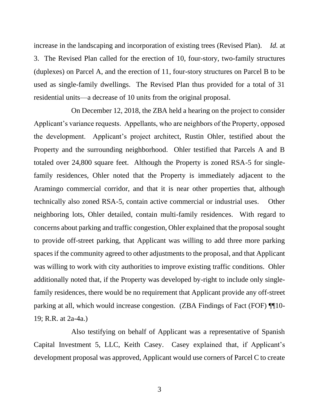increase in the landscaping and incorporation of existing trees (Revised Plan). *Id.* at 3. The Revised Plan called for the erection of 10, four-story, two-family structures (duplexes) on Parcel A, and the erection of 11, four-story structures on Parcel B to be used as single-family dwellings. The Revised Plan thus provided for a total of 31 residential units—a decrease of 10 units from the original proposal.

On December 12, 2018, the ZBA held a hearing on the project to consider Applicant's variance requests. Appellants, who are neighbors of the Property, opposed the development. Applicant's project architect, Rustin Ohler, testified about the Property and the surrounding neighborhood. Ohler testified that Parcels A and B totaled over 24,800 square feet. Although the Property is zoned RSA-5 for singlefamily residences, Ohler noted that the Property is immediately adjacent to the Aramingo commercial corridor, and that it is near other properties that, although technically also zoned RSA-5, contain active commercial or industrial uses. Other neighboring lots, Ohler detailed, contain multi-family residences. With regard to concerns about parking and traffic congestion, Ohler explained that the proposal sought to provide off-street parking, that Applicant was willing to add three more parking spaces if the community agreed to other adjustments to the proposal, and that Applicant was willing to work with city authorities to improve existing traffic conditions. Ohler additionally noted that, if the Property was developed by-right to include only singlefamily residences, there would be no requirement that Applicant provide any off-street parking at all, which would increase congestion. (ZBA Findings of Fact (FOF) ¶¶10- 19; R.R. at 2a-4a.)

Also testifying on behalf of Applicant was a representative of Spanish Capital Investment 5, LLC, Keith Casey. Casey explained that, if Applicant's development proposal was approved, Applicant would use corners of Parcel C to create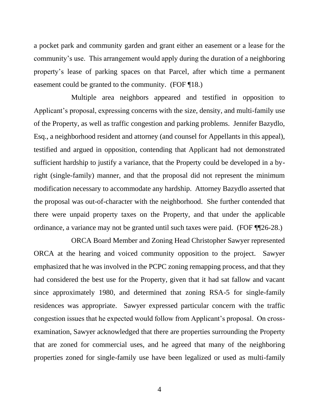a pocket park and community garden and grant either an easement or a lease for the community's use. This arrangement would apply during the duration of a neighboring property's lease of parking spaces on that Parcel, after which time a permanent easement could be granted to the community. (FOF ¶18.)

Multiple area neighbors appeared and testified in opposition to Applicant's proposal, expressing concerns with the size, density, and multi-family use of the Property, as well as traffic congestion and parking problems. Jennifer Bazydlo, Esq., a neighborhood resident and attorney (and counsel for Appellants in this appeal), testified and argued in opposition, contending that Applicant had not demonstrated sufficient hardship to justify a variance, that the Property could be developed in a byright (single-family) manner, and that the proposal did not represent the minimum modification necessary to accommodate any hardship. Attorney Bazydlo asserted that the proposal was out-of-character with the neighborhood. She further contended that there were unpaid property taxes on the Property, and that under the applicable ordinance, a variance may not be granted until such taxes were paid. (FOF ¶¶26-28.)

ORCA Board Member and Zoning Head Christopher Sawyer represented ORCA at the hearing and voiced community opposition to the project. Sawyer emphasized that he was involved in the PCPC zoning remapping process, and that they had considered the best use for the Property, given that it had sat fallow and vacant since approximately 1980, and determined that zoning RSA-5 for single-family residences was appropriate. Sawyer expressed particular concern with the traffic congestion issues that he expected would follow from Applicant's proposal. On crossexamination, Sawyer acknowledged that there are properties surrounding the Property that are zoned for commercial uses, and he agreed that many of the neighboring properties zoned for single-family use have been legalized or used as multi-family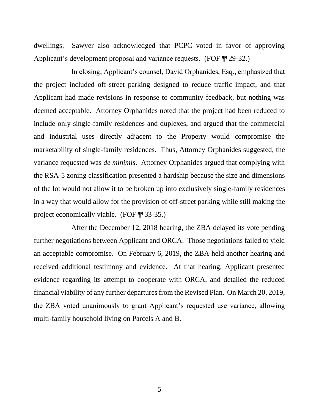dwellings. Sawyer also acknowledged that PCPC voted in favor of approving Applicant's development proposal and variance requests. (FOF ¶¶29-32.)

In closing, Applicant's counsel, David Orphanides, Esq., emphasized that the project included off-street parking designed to reduce traffic impact, and that Applicant had made revisions in response to community feedback, but nothing was deemed acceptable. Attorney Orphanides noted that the project had been reduced to include only single-family residences and duplexes, and argued that the commercial and industrial uses directly adjacent to the Property would compromise the marketability of single-family residences. Thus, Attorney Orphanides suggested, the variance requested was *de minimis*. Attorney Orphanides argued that complying with the RSA-5 zoning classification presented a hardship because the size and dimensions of the lot would not allow it to be broken up into exclusively single-family residences in a way that would allow for the provision of off-street parking while still making the project economically viable. (FOF ¶¶33-35.)

After the December 12, 2018 hearing, the ZBA delayed its vote pending further negotiations between Applicant and ORCA. Those negotiations failed to yield an acceptable compromise. On February 6, 2019, the ZBA held another hearing and received additional testimony and evidence. At that hearing, Applicant presented evidence regarding its attempt to cooperate with ORCA, and detailed the reduced financial viability of any further departures from the Revised Plan. On March 20, 2019, the ZBA voted unanimously to grant Applicant's requested use variance, allowing multi-family household living on Parcels A and B.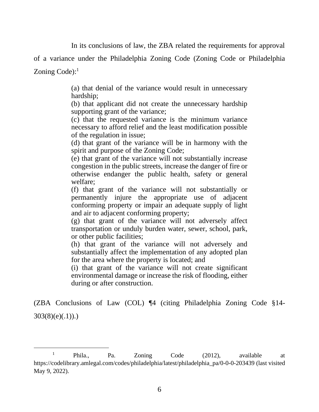In its conclusions of law, the ZBA related the requirements for approval

of a variance under the Philadelphia Zoning Code (Zoning Code or Philadelphia

Zoning Code):<sup>1</sup>

(a) that denial of the variance would result in unnecessary hardship;

(b) that applicant did not create the unnecessary hardship supporting grant of the variance;

(c) that the requested variance is the minimum variance necessary to afford relief and the least modification possible of the regulation in issue;

(d) that grant of the variance will be in harmony with the spirit and purpose of the Zoning Code;

(e) that grant of the variance will not substantially increase congestion in the public streets, increase the danger of fire or otherwise endanger the public health, safety or general welfare;

(f) that grant of the variance will not substantially or permanently injure the appropriate use of adjacent conforming property or impair an adequate supply of light and air to adjacent conforming property;

(g) that grant of the variance will not adversely affect transportation or unduly burden water, sewer, school, park, or other public facilities;

(h) that grant of the variance will not adversely and substantially affect the implementation of any adopted plan for the area where the property is located; and

(i) that grant of the variance will not create significant environmental damage or increase the risk of flooding, either during or after construction.

(ZBA Conclusions of Law (COL) ¶4 (citing Philadelphia Zoning Code §14-  $303(8)(e)(.1))$ .

<sup>&</sup>lt;sup>1</sup> Phila., Pa. Zoning Code (2012), available at https://codelibrary.amlegal.com/codes/philadelphia/latest/philadelphia\_pa/0-0-0-203439 (last visited May 9, 2022).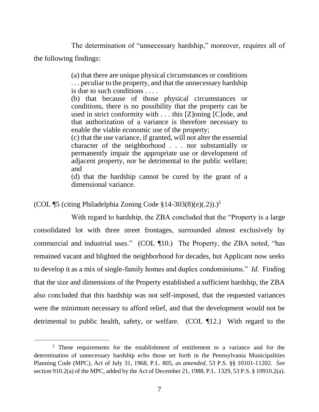The determination of "unnecessary hardship," moreover, requires all of the following findings:

> (a) that there are unique physical circumstances or conditions . . . peculiar to the property, and that the unnecessary hardship is due to such conditions . . . .

> (b) that because of those physical circumstances or conditions, there is no possibility that the property can be used in strict conformity with . . . this [Z]oning [C]ode, and that authorization of a variance is therefore necessary to enable the viable economic use of the property;

> (c) that the use variance, if granted, will not alter the essential character of the neighborhood . . . nor substantially or permanently impair the appropriate use or development of adjacent property, nor be detrimental to the public welfare; and

> (d) that the hardship cannot be cured by the grant of a dimensional variance.

(COL ¶5 (citing Philadelphia Zoning Code §14-303(8)(e)(.2)).)<sup>2</sup>

With regard to hardship, the ZBA concluded that the "Property is a large consolidated lot with three street frontages, surrounded almost exclusively by commercial and industrial uses." (COL ¶10.) The Property, the ZBA noted, "has remained vacant and blighted the neighborhood for decades, but Applicant now seeks to develop it as a mix of single-family homes and duplex condominiums." *Id.* Finding that the size and dimensions of the Property established a sufficient hardship, the ZBA also concluded that this hardship was not self-imposed, that the requested variances were the minimum necessary to afford relief, and that the development would not be detrimental to public health, safety, or welfare. (COL ¶12.) With regard to the

<sup>&</sup>lt;sup>2</sup> These requirements for the establishment of entitlement to a variance and for the determination of unnecessary hardship echo those set forth in the Pennsylvania Municipalities Planning Code (MPC), Act of July 31, 1968, P.L. 805, *as amended*, 53 P.S. §§ 10101-11202. *See*  section 910.2(a) of the MPC, added by the Act of December 21, 1988, P.L. 1329, 53 P.S. § 10910.2(a).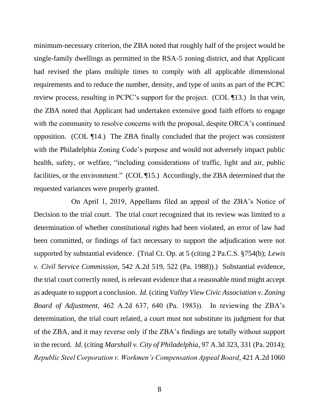minimum-necessary criterion, the ZBA noted that roughly half of the project would be single-family dwellings as permitted in the RSA-5 zoning district, and that Applicant had revised the plans multiple times to comply with all applicable dimensional requirements and to reduce the number, density, and type of units as part of the PCPC review process, resulting in PCPC's support for the project. (COL ¶13.) In that vein, the ZBA noted that Applicant had undertaken extensive good faith efforts to engage with the community to resolve concerns with the proposal, despite ORCA's continued opposition. (COL ¶14.) The ZBA finally concluded that the project was consistent with the Philadelphia Zoning Code's purpose and would not adversely impact public health, safety, or welfare, "including considerations of traffic, light and air, public facilities, or the environment." (COL ¶15.) Accordingly, the ZBA determined that the requested variances were properly granted.

On April 1, 2019, Appellants filed an appeal of the ZBA's Notice of Decision to the trial court. The trial court recognized that its review was limited to a determination of whether constitutional rights had been violated, an error of law had been committed, or findings of fact necessary to support the adjudication were not supported by substantial evidence. (Trial Ct. Op. at 5 (citing 2 Pa.C.S. §754(b); *Lewis v. Civil Service Commission*, 542 A.2d 519, 522 (Pa. 1988)).) Substantial evidence, the trial court correctly noted, is relevant evidence that a reasonable mind might accept as adequate to support a conclusion. *Id.* (citing *Valley View Civic Association v. Zoning Board of Adjustment*, 462 A.2d 637, 640 (Pa. 1983)). In reviewing the ZBA's determination, the trial court related, a court must not substitute its judgment for that of the ZBA, and it may reverse only if the ZBA's findings are totally without support in the record. *Id.* (citing *Marshall v. City of Philadelphia*, 97 A.3d 323, 331 (Pa. 2014); *Republic Steel Corporation v. Workmen's Compensation Appeal Board*, 421 A.2d 1060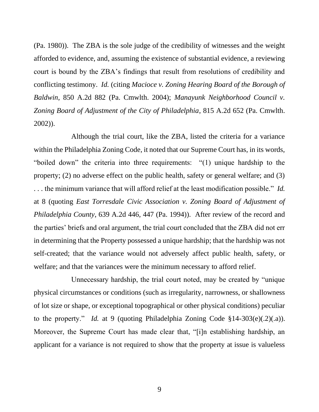(Pa. 1980)). The ZBA is the sole judge of the credibility of witnesses and the weight afforded to evidence, and, assuming the existence of substantial evidence, a reviewing court is bound by the ZBA's findings that result from resolutions of credibility and conflicting testimony. *Id.* (citing *Macioce v. Zoning Hearing Board of the Borough of Baldwin*, 850 A.2d 882 (Pa. Cmwlth. 2004); *Manayunk Neighborhood Council v. Zoning Board of Adjustment of the City of Philadelphia*, 815 A.2d 652 (Pa. Cmwlth. 2002)).

Although the trial court, like the ZBA, listed the criteria for a variance within the Philadelphia Zoning Code, it noted that our Supreme Court has, in its words, "boiled down" the criteria into three requirements: "(1) unique hardship to the property; (2) no adverse effect on the public health, safety or general welfare; and (3) . . . the minimum variance that will afford relief at the least modification possible." *Id.* at 8 (quoting *East Torresdale Civic Association v. Zoning Board of Adjustment of Philadelphia County*, 639 A.2d 446, 447 (Pa. 1994)). After review of the record and the parties' briefs and oral argument, the trial court concluded that the ZBA did not err in determining that the Property possessed a unique hardship; that the hardship was not self-created; that the variance would not adversely affect public health, safety, or welfare; and that the variances were the minimum necessary to afford relief.

Unnecessary hardship, the trial court noted, may be created by "unique physical circumstances or conditions (such as irregularity, narrowness, or shallowness of lot size or shape, or exceptional topographical or other physical conditions) peculiar to the property." *Id.* at 9 (quoting Philadelphia Zoning Code §14-303(e)(.2)(.a)). Moreover, the Supreme Court has made clear that, "[i]n establishing hardship, an applicant for a variance is not required to show that the property at issue is valueless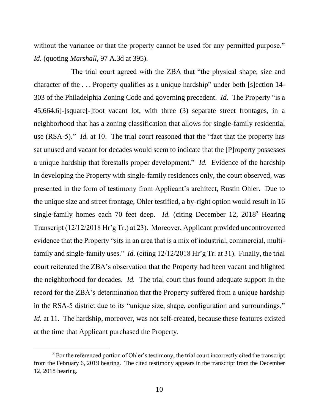without the variance or that the property cannot be used for any permitted purpose." *Id.* (quoting *Marshall*, 97 A.3d at 395).

The trial court agreed with the ZBA that "the physical shape, size and character of the . . . Property qualifies as a unique hardship" under both [s]ection 14- 303 of the Philadelphia Zoning Code and governing precedent. *Id.* The Property "is a 45,664.6[-]square[-]foot vacant lot, with three (3) separate street frontages, in a neighborhood that has a zoning classification that allows for single-family residential use (RSA-5)." *Id.* at 10. The trial court reasoned that the "fact that the property has sat unused and vacant for decades would seem to indicate that the [P]roperty possesses a unique hardship that forestalls proper development." *Id.* Evidence of the hardship in developing the Property with single-family residences only, the court observed, was presented in the form of testimony from Applicant's architect, Rustin Ohler. Due to the unique size and street frontage, Ohler testified, a by-right option would result in 16 single-family homes each 70 feet deep. *Id.* (citing December 12, 2018<sup>3</sup> Hearing Transcript (12/12/2018 Hr'g Tr.) at 23). Moreover, Applicant provided uncontroverted evidence that the Property "sits in an area that is a mix of industrial, commercial, multifamily and single-family uses." *Id.* (citing 12/12/2018 Hr'g Tr. at 31). Finally, the trial court reiterated the ZBA's observation that the Property had been vacant and blighted the neighborhood for decades. *Id.* The trial court thus found adequate support in the record for the ZBA's determination that the Property suffered from a unique hardship in the RSA-5 district due to its "unique size, shape, configuration and surroundings." *Id.* at 11. The hardship, moreover, was not self-created, because these features existed at the time that Applicant purchased the Property.

 $3$  For the referenced portion of Ohler's testimony, the trial court incorrectly cited the transcript from the February 6, 2019 hearing. The cited testimony appears in the transcript from the December 12, 2018 hearing.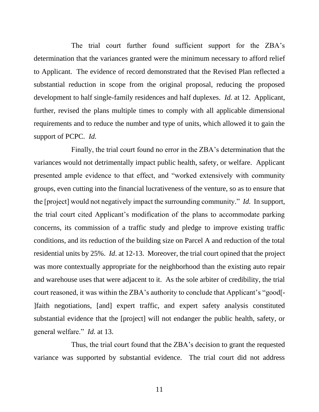The trial court further found sufficient support for the ZBA's determination that the variances granted were the minimum necessary to afford relief to Applicant. The evidence of record demonstrated that the Revised Plan reflected a substantial reduction in scope from the original proposal, reducing the proposed development to half single-family residences and half duplexes. *Id.* at 12. Applicant, further, revised the plans multiple times to comply with all applicable dimensional requirements and to reduce the number and type of units, which allowed it to gain the support of PCPC. *Id.*

Finally, the trial court found no error in the ZBA's determination that the variances would not detrimentally impact public health, safety, or welfare. Applicant presented ample evidence to that effect, and "worked extensively with community groups, even cutting into the financial lucrativeness of the venture, so as to ensure that the [project] would not negatively impact the surrounding community." *Id.* In support, the trial court cited Applicant's modification of the plans to accommodate parking concerns, its commission of a traffic study and pledge to improve existing traffic conditions, and its reduction of the building size on Parcel A and reduction of the total residential units by 25%. *Id*. at 12-13. Moreover, the trial court opined that the project was more contextually appropriate for the neighborhood than the existing auto repair and warehouse uses that were adjacent to it. As the sole arbiter of credibility, the trial court reasoned, it was within the ZBA's authority to conclude that Applicant's "good[- ]faith negotiations, [and] expert traffic, and expert safety analysis constituted substantial evidence that the [project] will not endanger the public health, safety, or general welfare." *Id.* at 13.

Thus, the trial court found that the ZBA's decision to grant the requested variance was supported by substantial evidence. The trial court did not address

11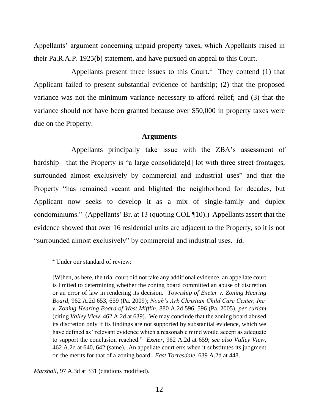Appellants' argument concerning unpaid property taxes, which Appellants raised in their Pa.R.A.P. 1925(b) statement, and have pursued on appeal to this Court.

Appellants present three issues to this Court. $4$  They contend (1) that Applicant failed to present substantial evidence of hardship; (2) that the proposed variance was not the minimum variance necessary to afford relief; and (3) that the variance should not have been granted because over \$50,000 in property taxes were due on the Property.

#### **Arguments**

Appellants principally take issue with the ZBA's assessment of hardship—that the Property is "a large consolidate<sup>[d]</sup> lot with three street frontages, surrounded almost exclusively by commercial and industrial uses" and that the Property "has remained vacant and blighted the neighborhood for decades, but Applicant now seeks to develop it as a mix of single-family and duplex condominiums." (Appellants' Br. at 13 (quoting COL ¶10).) Appellants assert that the evidence showed that over 16 residential units are adjacent to the Property, so it is not "surrounded almost exclusively" by commercial and industrial uses. *Id.*

*Marshall*, 97 A.3d at 331 (citations modified).

<sup>4</sup> Under our standard of review:

<sup>[</sup>W]hen, as here, the trial court did not take any additional evidence, an appellate court is limited to determining whether the zoning board committed an abuse of discretion or an error of law in rendering its decision. *Township of Exeter v. Zoning Hearing Board*, 962 A.2d 653, 659 (Pa. 2009); *Noah's Ark Christian Child Care Center, Inc. v. Zoning Hearing Board of West Mifflin*, 880 A.2d 596, 596 (Pa. 2005), *per curiam* (citing *Valley View*, 462 A.2d at 639). We may conclude that the zoning board abused its discretion only if its findings are not supported by substantial evidence, which we have defined as "relevant evidence which a reasonable mind would accept as adequate to support the conclusion reached." *Exeter*, 962 A.2d at 659; *see also Valley View*, 462 A.2d at 640, 642 (same). An appellate court errs when it substitutes its judgment on the merits for that of a zoning board. *East Torresdale*, 639 A.2d at 448.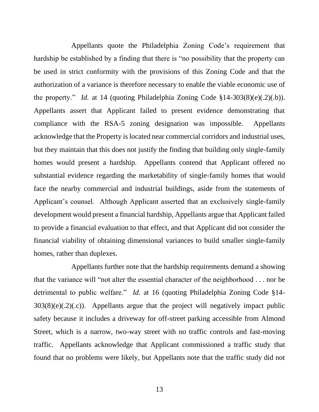Appellants quote the Philadelphia Zoning Code's requirement that hardship be established by a finding that there is "no possibility that the property can be used in strict conformity with the provisions of this Zoning Code and that the authorization of a variance is therefore necessary to enable the viable economic use of the property." *Id.* at 14 (quoting Philadelphia Zoning Code  $$14-303(8)(e)(.2)(.b)$ ). Appellants assert that Applicant failed to present evidence demonstrating that compliance with the RSA-5 zoning designation was impossible. Appellants acknowledge that the Property is located near commercial corridors and industrial uses, but they maintain that this does not justify the finding that building only single-family homes would present a hardship. Appellants contend that Applicant offered no substantial evidence regarding the marketability of single-family homes that would face the nearby commercial and industrial buildings, aside from the statements of Applicant's counsel. Although Applicant asserted that an exclusively single-family development would present a financial hardship, Appellants argue that Applicant failed to provide a financial evaluation to that effect, and that Applicant did not consider the financial viability of obtaining dimensional variances to build smaller single-family homes, rather than duplexes.

Appellants further note that the hardship requirements demand a showing that the variance will "not alter the essential character of the neighborhood . . . nor be detrimental to public welfare." *Id.* at 16 (quoting Philadelphia Zoning Code §14-  $303(8)(e)(.2)(.c)$ . Appellants argue that the project will negatively impact public safety because it includes a driveway for off-street parking accessible from Almond Street, which is a narrow, two-way street with no traffic controls and fast-moving traffic. Appellants acknowledge that Applicant commissioned a traffic study that found that no problems were likely, but Appellants note that the traffic study did not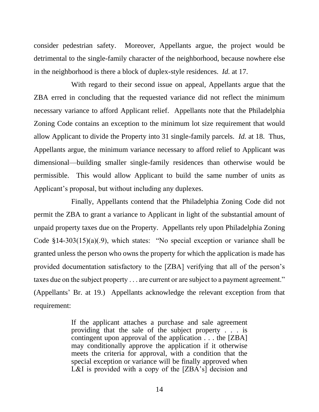consider pedestrian safety. Moreover, Appellants argue, the project would be detrimental to the single-family character of the neighborhood, because nowhere else in the neighborhood is there a block of duplex-style residences. *Id.* at 17.

With regard to their second issue on appeal, Appellants argue that the ZBA erred in concluding that the requested variance did not reflect the minimum necessary variance to afford Applicant relief. Appellants note that the Philadelphia Zoning Code contains an exception to the minimum lot size requirement that would allow Applicant to divide the Property into 31 single-family parcels. *Id.* at 18. Thus, Appellants argue, the minimum variance necessary to afford relief to Applicant was dimensional—building smaller single-family residences than otherwise would be permissible. This would allow Applicant to build the same number of units as Applicant's proposal, but without including any duplexes.

Finally, Appellants contend that the Philadelphia Zoning Code did not permit the ZBA to grant a variance to Applicant in light of the substantial amount of unpaid property taxes due on the Property. Appellants rely upon Philadelphia Zoning Code §14-303(15)(a)(.9), which states: "No special exception or variance shall be granted unless the person who owns the property for which the application is made has provided documentation satisfactory to the [ZBA] verifying that all of the person's taxes due on the subject property . . . are current or are subject to a payment agreement." (Appellants' Br. at 19.) Appellants acknowledge the relevant exception from that requirement:

> If the applicant attaches a purchase and sale agreement providing that the sale of the subject property . . . is contingent upon approval of the application . . . the [ZBA] may conditionally approve the application if it otherwise meets the criteria for approval, with a condition that the special exception or variance will be finally approved when L&I is provided with a copy of the [ZBA's] decision and

> > 14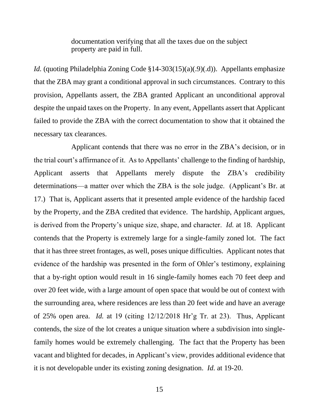documentation verifying that all the taxes due on the subject property are paid in full.

*Id.* (quoting Philadelphia Zoning Code §14-303(15)(a)(.9)(.d)). Appellants emphasize that the ZBA may grant a conditional approval in such circumstances. Contrary to this provision, Appellants assert, the ZBA granted Applicant an unconditional approval despite the unpaid taxes on the Property. In any event, Appellants assert that Applicant failed to provide the ZBA with the correct documentation to show that it obtained the necessary tax clearances.

Applicant contends that there was no error in the ZBA's decision, or in the trial court's affirmance of it. As to Appellants' challenge to the finding of hardship, Applicant asserts that Appellants merely dispute the ZBA's credibility determinations—a matter over which the ZBA is the sole judge. (Applicant's Br. at 17.) That is, Applicant asserts that it presented ample evidence of the hardship faced by the Property, and the ZBA credited that evidence. The hardship, Applicant argues, is derived from the Property's unique size, shape, and character. *Id.* at 18. Applicant contends that the Property is extremely large for a single-family zoned lot. The fact that it has three street frontages, as well, poses unique difficulties. Applicant notes that evidence of the hardship was presented in the form of Ohler's testimony, explaining that a by-right option would result in 16 single-family homes each 70 feet deep and over 20 feet wide, with a large amount of open space that would be out of context with the surrounding area, where residences are less than 20 feet wide and have an average of 25% open area. *Id.* at 19 (citing 12/12/2018 Hr'g Tr. at 23). Thus, Applicant contends, the size of the lot creates a unique situation where a subdivision into singlefamily homes would be extremely challenging. The fact that the Property has been vacant and blighted for decades, in Applicant's view, provides additional evidence that it is not developable under its existing zoning designation. *Id.* at 19-20.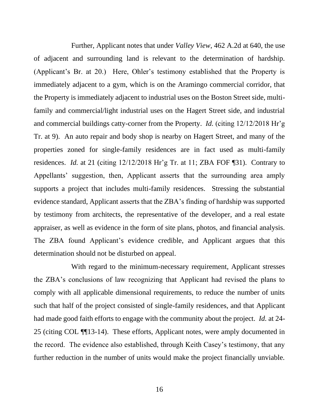Further, Applicant notes that under *Valley View*, 462 A.2d at 640, the use of adjacent and surrounding land is relevant to the determination of hardship. (Applicant's Br. at 20.) Here, Ohler's testimony established that the Property is immediately adjacent to a gym, which is on the Aramingo commercial corridor, that the Property is immediately adjacent to industrial uses on the Boston Street side, multifamily and commercial/light industrial uses on the Hagert Street side, and industrial and commercial buildings catty-corner from the Property. *Id.* (citing 12/12/2018 Hr'g Tr. at 9). An auto repair and body shop is nearby on Hagert Street, and many of the properties zoned for single-family residences are in fact used as multi-family residences. *Id.* at 21 (citing 12/12/2018 Hr'g Tr. at 11; ZBA FOF ¶31). Contrary to Appellants' suggestion, then, Applicant asserts that the surrounding area amply supports a project that includes multi-family residences. Stressing the substantial evidence standard, Applicant asserts that the ZBA's finding of hardship was supported by testimony from architects, the representative of the developer, and a real estate appraiser, as well as evidence in the form of site plans, photos, and financial analysis. The ZBA found Applicant's evidence credible, and Applicant argues that this determination should not be disturbed on appeal.

With regard to the minimum-necessary requirement, Applicant stresses the ZBA's conclusions of law recognizing that Applicant had revised the plans to comply with all applicable dimensional requirements, to reduce the number of units such that half of the project consisted of single-family residences, and that Applicant had made good faith efforts to engage with the community about the project. *Id.* at 24- 25 (citing COL ¶¶13-14). These efforts, Applicant notes, were amply documented in the record. The evidence also established, through Keith Casey's testimony, that any further reduction in the number of units would make the project financially unviable.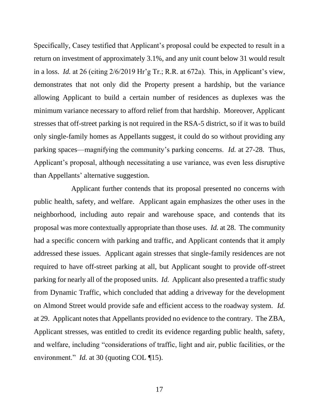Specifically, Casey testified that Applicant's proposal could be expected to result in a return on investment of approximately 3.1%, and any unit count below 31 would result in a loss. *Id.* at 26 (citing 2/6/2019 Hr'g Tr.; R.R. at 672a). This, in Applicant's view, demonstrates that not only did the Property present a hardship, but the variance allowing Applicant to build a certain number of residences as duplexes was the minimum variance necessary to afford relief from that hardship. Moreover, Applicant stresses that off-street parking is not required in the RSA-5 district, so if it was to build only single-family homes as Appellants suggest, it could do so without providing any parking spaces—magnifying the community's parking concerns. *Id.* at 27-28. Thus, Applicant's proposal, although necessitating a use variance, was even less disruptive than Appellants' alternative suggestion.

Applicant further contends that its proposal presented no concerns with public health, safety, and welfare. Applicant again emphasizes the other uses in the neighborhood, including auto repair and warehouse space, and contends that its proposal was more contextually appropriate than those uses. *Id.* at 28. The community had a specific concern with parking and traffic, and Applicant contends that it amply addressed these issues. Applicant again stresses that single-family residences are not required to have off-street parking at all, but Applicant sought to provide off-street parking for nearly all of the proposed units. *Id.* Applicant also presented a traffic study from Dynamic Traffic, which concluded that adding a driveway for the development on Almond Street would provide safe and efficient access to the roadway system. *Id.* at 29. Applicant notes that Appellants provided no evidence to the contrary. The ZBA, Applicant stresses, was entitled to credit its evidence regarding public health, safety, and welfare, including "considerations of traffic, light and air, public facilities, or the environment." *Id.* at 30 (quoting COL ¶15).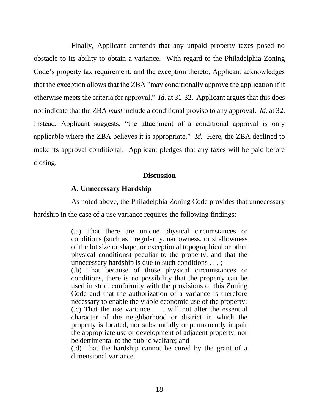Finally, Applicant contends that any unpaid property taxes posed no obstacle to its ability to obtain a variance. With regard to the Philadelphia Zoning Code's property tax requirement, and the exception thereto, Applicant acknowledges that the exception allows that the ZBA "may conditionally approve the application if it otherwise meets the criteria for approval." *Id.* at 31-32. Applicant argues that this does not indicate that the ZBA *must* include a conditional proviso to any approval. *Id.* at 32. Instead, Applicant suggests, "the attachment of a conditional approval is only applicable where the ZBA believes it is appropriate." *Id.* Here, the ZBA declined to make its approval conditional. Applicant pledges that any taxes will be paid before closing.

### **Discussion**

### **A. Unnecessary Hardship**

As noted above, the Philadelphia Zoning Code provides that unnecessary

hardship in the case of a use variance requires the following findings:

(.a) That there are unique physical circumstances or conditions (such as irregularity, narrowness, or shallowness of the lot size or shape, or exceptional topographical or other physical conditions) peculiar to the property, and that the unnecessary hardship is due to such conditions . . . ;

(.b) That because of those physical circumstances or conditions, there is no possibility that the property can be used in strict conformity with the provisions of this Zoning Code and that the authorization of a variance is therefore necessary to enable the viable economic use of the property; (.c) That the use variance . . . will not alter the essential character of the neighborhood or district in which the property is located, nor substantially or permanently impair the appropriate use or development of adjacent property, nor be detrimental to the public welfare; and

(.d) That the hardship cannot be cured by the grant of a dimensional variance.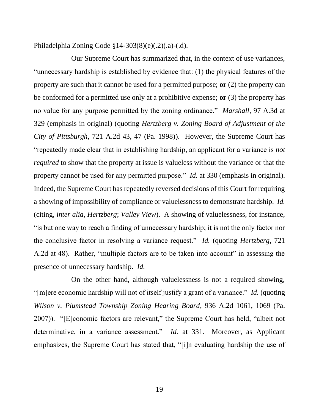Philadelphia Zoning Code §14-303(8)(e)(.2)(.a)-(.d).

Our Supreme Court has summarized that, in the context of use variances, "unnecessary hardship is established by evidence that: (1) the physical features of the property are such that it cannot be used for a permitted purpose; **or** (2) the property can be conformed for a permitted use only at a prohibitive expense; **or** (3) the property has no value for any purpose permitted by the zoning ordinance." *Marshall*, 97 A.3d at 329 (emphasis in original) (quoting *Hertzberg v. Zoning Board of Adjustment of the City of Pittsburgh*, 721 A.2d 43, 47 (Pa. 1998)). However, the Supreme Court has "repeatedly made clear that in establishing hardship, an applicant for a variance is *not required* to show that the property at issue is valueless without the variance or that the property cannot be used for any permitted purpose." *Id.* at 330 (emphasis in original). Indeed, the Supreme Court has repeatedly reversed decisions of this Court for requiring a showing of impossibility of compliance or valuelessness to demonstrate hardship. *Id.* (citing, *inter alia*, *Hertzberg*; *Valley View*). A showing of valuelessness, for instance, "is but one way to reach a finding of unnecessary hardship; it is not the only factor nor the conclusive factor in resolving a variance request." *Id.* (quoting *Hertzberg*, 721 A.2d at 48). Rather, "multiple factors are to be taken into account" in assessing the presence of unnecessary hardship. *Id.*

On the other hand, although valuelessness is not a required showing, "[m]ere economic hardship will not of itself justify a grant of a variance." *Id.* (quoting *Wilson v. Plumstead Township Zoning Hearing Board*, 936 A.2d 1061, 1069 (Pa. 2007)). "[E]conomic factors are relevant," the Supreme Court has held, "albeit not determinative, in a variance assessment." *Id.* at 331. Moreover, as Applicant emphasizes, the Supreme Court has stated that, "[i]n evaluating hardship the use of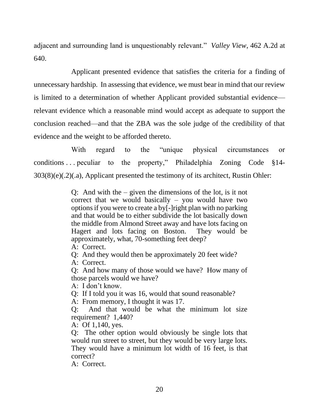adjacent and surrounding land is unquestionably relevant." *Valley View*, 462 A.2d at 640.

Applicant presented evidence that satisfies the criteria for a finding of unnecessary hardship. In assessing that evidence, we must bear in mind that our review is limited to a determination of whether Applicant provided substantial evidence relevant evidence which a reasonable mind would accept as adequate to support the conclusion reached—and that the ZBA was the sole judge of the credibility of that evidence and the weight to be afforded thereto.

With regard to the "unique physical circumstances or conditions ... peculiar to the property," Philadelphia Zoning Code  $§14-$ 303(8)(e)(.2)(.a), Applicant presented the testimony of its architect, Rustin Ohler:

> Q: And with the – given the dimensions of the lot, is it not correct that we would basically – you would have two options if you were to create a by[-]right plan with no parking and that would be to either subdivide the lot basically down the middle from Almond Street away and have lots facing on Hagert and lots facing on Boston. They would be approximately, what, 70-something feet deep?

A: Correct.

Q: And they would then be approximately 20 feet wide?

A: Correct.

Q: And how many of those would we have? How many of those parcels would we have?

A: I don't know.

Q: If I told you it was 16, would that sound reasonable?

A: From memory, I thought it was 17.

Q: And that would be what the minimum lot size requirement? 1,440?

A: Of 1,140, yes.

Q: The other option would obviously be single lots that would run street to street, but they would be very large lots. They would have a minimum lot width of 16 feet, is that correct?

A: Correct.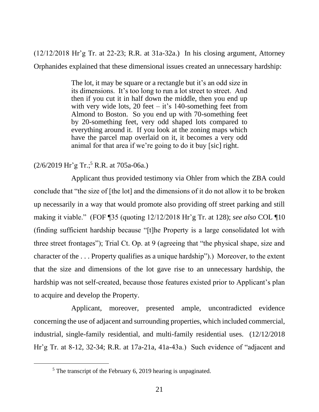(12/12/2018 Hr'g Tr. at 22-23; R.R. at 31a-32a.) In his closing argument, Attorney Orphanides explained that these dimensional issues created an unnecessary hardship:

> The lot, it may be square or a rectangle but it's an odd size in its dimensions. It's too long to run a lot street to street. And then if you cut it in half down the middle, then you end up with very wide lots, 20 feet – it's  $140$ -something feet from Almond to Boston. So you end up with 70-something feet by 20-something feet, very odd shaped lots compared to everything around it. If you look at the zoning maps which have the parcel map overlaid on it, it becomes a very odd animal for that area if we're going to do it buy [sic] right.

# $(2/6/2019 \text{ Hr}^{\circ} \text{g Tr.};^5 \text{R.R. at } 705 \text{a} - 06 \text{a.})$

Applicant thus provided testimony via Ohler from which the ZBA could conclude that "the size of [the lot] and the dimensions of it do not allow it to be broken up necessarily in a way that would promote also providing off street parking and still making it viable." (FOF ¶35 (quoting 12/12/2018 Hr'g Tr. at 128); *see also* COL ¶10 (finding sufficient hardship because "[t]he Property is a large consolidated lot with three street frontages"); Trial Ct. Op. at 9 (agreeing that "the physical shape, size and character of the . . . Property qualifies as a unique hardship").) Moreover, to the extent that the size and dimensions of the lot gave rise to an unnecessary hardship, the hardship was not self-created, because those features existed prior to Applicant's plan to acquire and develop the Property.

Applicant, moreover, presented ample, uncontradicted evidence concerning the use of adjacent and surrounding properties, which included commercial, industrial, single-family residential, and multi-family residential uses. (12/12/2018 Hr'g Tr. at 8-12, 32-34; R.R. at 17a-21a, 41a-43a.) Such evidence of "adjacent and

 $<sup>5</sup>$  The transcript of the February 6, 2019 hearing is unpaginated.</sup>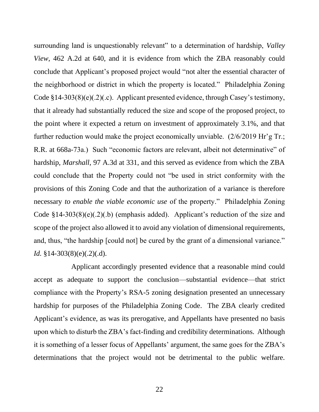surrounding land is unquestionably relevant" to a determination of hardship, *Valley View*, 462 A.2d at 640, and it is evidence from which the ZBA reasonably could conclude that Applicant's proposed project would "not alter the essential character of the neighborhood or district in which the property is located." Philadelphia Zoning Code §14-303(8)(e)(.2)(.c). Applicant presented evidence, through Casey's testimony, that it already had substantially reduced the size and scope of the proposed project, to the point where it expected a return on investment of approximately 3.1%, and that further reduction would make the project economically unviable. (2/6/2019 Hr'g Tr.; R.R. at 668a-73a.) Such "economic factors are relevant, albeit not determinative" of hardship, *Marshall*, 97 A.3d at 331, and this served as evidence from which the ZBA could conclude that the Property could not "be used in strict conformity with the provisions of this Zoning Code and that the authorization of a variance is therefore necessary *to enable the viable economic use* of the property." Philadelphia Zoning Code §14-303(8)(e)(.2)(.b) (emphasis added). Applicant's reduction of the size and scope of the project also allowed it to avoid any violation of dimensional requirements, and, thus, "the hardship [could not] be cured by the grant of a dimensional variance." *Id.* §14-303(8)(e)(.2)(.d).

Applicant accordingly presented evidence that a reasonable mind could accept as adequate to support the conclusion—substantial evidence—that strict compliance with the Property's RSA-5 zoning designation presented an unnecessary hardship for purposes of the Philadelphia Zoning Code. The ZBA clearly credited Applicant's evidence, as was its prerogative, and Appellants have presented no basis upon which to disturb the ZBA's fact-finding and credibility determinations. Although it is something of a lesser focus of Appellants' argument, the same goes for the ZBA's determinations that the project would not be detrimental to the public welfare.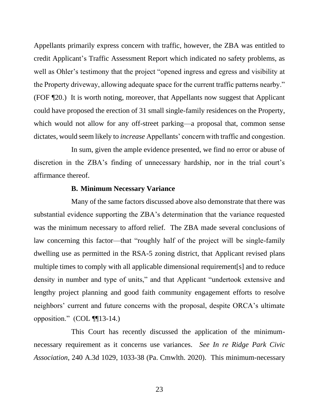Appellants primarily express concern with traffic, however, the ZBA was entitled to credit Applicant's Traffic Assessment Report which indicated no safety problems, as well as Ohler's testimony that the project "opened ingress and egress and visibility at the Property driveway, allowing adequate space for the current traffic patterns nearby." (FOF ¶20.) It is worth noting, moreover, that Appellants now suggest that Applicant could have proposed the erection of 31 small single-family residences on the Property, which would not allow for any off-street parking—a proposal that, common sense dictates, would seem likely to *increase* Appellants' concern with traffic and congestion.

In sum, given the ample evidence presented, we find no error or abuse of discretion in the ZBA's finding of unnecessary hardship, nor in the trial court's affirmance thereof.

#### **B. Minimum Necessary Variance**

Many of the same factors discussed above also demonstrate that there was substantial evidence supporting the ZBA's determination that the variance requested was the minimum necessary to afford relief. The ZBA made several conclusions of law concerning this factor—that "roughly half of the project will be single-family dwelling use as permitted in the RSA-5 zoning district, that Applicant revised plans multiple times to comply with all applicable dimensional requirement[s] and to reduce density in number and type of units," and that Applicant "undertook extensive and lengthy project planning and good faith community engagement efforts to resolve neighbors' current and future concerns with the proposal, despite ORCA's ultimate opposition." (COL ¶¶13-14.)

This Court has recently discussed the application of the minimumnecessary requirement as it concerns use variances. *See In re Ridge Park Civic Association*, 240 A.3d 1029, 1033-38 (Pa. Cmwlth. 2020). This minimum-necessary

23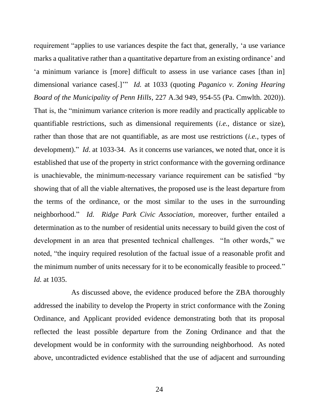requirement "applies to use variances despite the fact that, generally, 'a use variance marks a qualitative rather than a quantitative departure from an existing ordinance' and 'a minimum variance is [more] difficult to assess in use variance cases [than in] dimensional variance cases[.]'" *Id.* at 1033 (quoting *Paganico v. Zoning Hearing Board of the Municipality of Penn Hills*, 227 A.3d 949, 954-55 (Pa. Cmwlth. 2020)). That is, the "minimum variance criterion is more readily and practically applicable to quantifiable restrictions, such as dimensional requirements (*i.e.*, distance or size), rather than those that are not quantifiable, as are most use restrictions (*i.e.*, types of development)." *Id.* at 1033-34. As it concerns use variances, we noted that, once it is established that use of the property in strict conformance with the governing ordinance is unachievable, the minimum-necessary variance requirement can be satisfied "by showing that of all the viable alternatives, the proposed use is the least departure from the terms of the ordinance, or the most similar to the uses in the surrounding neighborhood." *Id. Ridge Park Civic Association*, moreover, further entailed a determination as to the number of residential units necessary to build given the cost of development in an area that presented technical challenges. "In other words," we noted, "the inquiry required resolution of the factual issue of a reasonable profit and the minimum number of units necessary for it to be economically feasible to proceed." *Id.* at 1035.

As discussed above, the evidence produced before the ZBA thoroughly addressed the inability to develop the Property in strict conformance with the Zoning Ordinance, and Applicant provided evidence demonstrating both that its proposal reflected the least possible departure from the Zoning Ordinance and that the development would be in conformity with the surrounding neighborhood. As noted above, uncontradicted evidence established that the use of adjacent and surrounding

24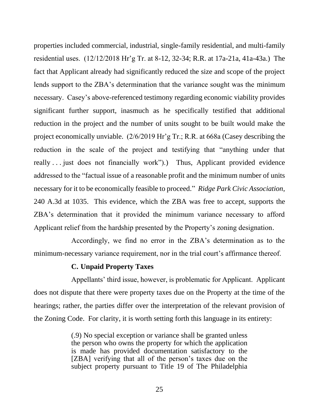properties included commercial, industrial, single-family residential, and multi-family residential uses. (12/12/2018 Hr'g Tr. at 8-12, 32-34; R.R. at 17a-21a, 41a-43a.) The fact that Applicant already had significantly reduced the size and scope of the project lends support to the ZBA's determination that the variance sought was the minimum necessary. Casey's above-referenced testimony regarding economic viability provides significant further support, inasmuch as he specifically testified that additional reduction in the project and the number of units sought to be built would make the project economically unviable. (2/6/2019 Hr'g Tr.; R.R. at 668a (Casey describing the reduction in the scale of the project and testifying that "anything under that really . . . just does not financially work").) Thus, Applicant provided evidence addressed to the "factual issue of a reasonable profit and the minimum number of units necessary for it to be economically feasible to proceed." *Ridge Park Civic Association*, 240 A.3d at 1035. This evidence, which the ZBA was free to accept, supports the ZBA's determination that it provided the minimum variance necessary to afford Applicant relief from the hardship presented by the Property's zoning designation.

Accordingly, we find no error in the ZBA's determination as to the minimum-necessary variance requirement, nor in the trial court's affirmance thereof.

### **C. Unpaid Property Taxes**

Appellants' third issue, however, is problematic for Applicant. Applicant does not dispute that there were property taxes due on the Property at the time of the hearings; rather, the parties differ over the interpretation of the relevant provision of the Zoning Code. For clarity, it is worth setting forth this language in its entirety:

> (.9) No special exception or variance shall be granted unless the person who owns the property for which the application is made has provided documentation satisfactory to the [ZBA] verifying that all of the person's taxes due on the subject property pursuant to Title 19 of The Philadelphia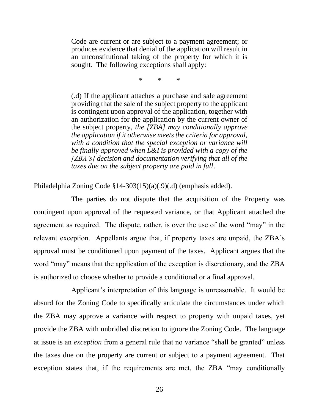Code are current or are subject to a payment agreement; or produces evidence that denial of the application will result in an unconstitutional taking of the property for which it is sought. The following exceptions shall apply:

\* \* \*

(.d) If the applicant attaches a purchase and sale agreement providing that the sale of the subject property to the applicant is contingent upon approval of the application, together with an authorization for the application by the current owner of the subject property, *the [ZBA] may conditionally approve the application if it otherwise meets the criteria for approval, with a condition that the special exception or variance will be finally approved when L&I is provided with a copy of the [ZBA's] decision and documentation verifying that all of the taxes due on the subject property are paid in full*.

Philadelphia Zoning Code §14-303(15)(a)(.9)(.d) (emphasis added).

The parties do not dispute that the acquisition of the Property was contingent upon approval of the requested variance, or that Applicant attached the agreement as required. The dispute, rather, is over the use of the word "may" in the relevant exception. Appellants argue that, if property taxes are unpaid, the ZBA's approval must be conditioned upon payment of the taxes. Applicant argues that the word "may" means that the application of the exception is discretionary, and the ZBA is authorized to choose whether to provide a conditional or a final approval.

Applicant's interpretation of this language is unreasonable. It would be absurd for the Zoning Code to specifically articulate the circumstances under which the ZBA may approve a variance with respect to property with unpaid taxes, yet provide the ZBA with unbridled discretion to ignore the Zoning Code. The language at issue is an *exception* from a general rule that no variance "shall be granted" unless the taxes due on the property are current or subject to a payment agreement. That exception states that, if the requirements are met, the ZBA "may conditionally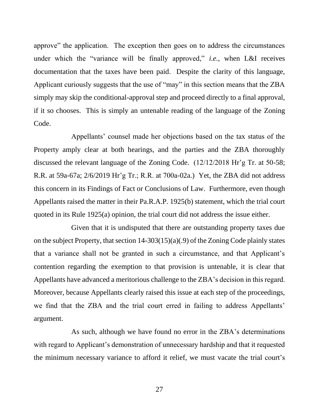approve" the application. The exception then goes on to address the circumstances under which the "variance will be finally approved," *i.e.*, when L&I receives documentation that the taxes have been paid. Despite the clarity of this language, Applicant curiously suggests that the use of "may" in this section means that the ZBA simply may skip the conditional-approval step and proceed directly to a final approval, if it so chooses. This is simply an untenable reading of the language of the Zoning Code.

Appellants' counsel made her objections based on the tax status of the Property amply clear at both hearings, and the parties and the ZBA thoroughly discussed the relevant language of the Zoning Code. (12/12/2018 Hr'g Tr. at 50-58; R.R. at 59a-67a; 2/6/2019 Hr'g Tr.; R.R. at 700a-02a.) Yet, the ZBA did not address this concern in its Findings of Fact or Conclusions of Law. Furthermore, even though Appellants raised the matter in their Pa.R.A.P. 1925(b) statement, which the trial court quoted in its Rule 1925(a) opinion, the trial court did not address the issue either.

Given that it is undisputed that there are outstanding property taxes due on the subject Property, that section 14-303(15)(a)(.9) of the Zoning Code plainly states that a variance shall not be granted in such a circumstance, and that Applicant's contention regarding the exemption to that provision is untenable, it is clear that Appellants have advanced a meritorious challenge to the ZBA's decision in this regard. Moreover, because Appellants clearly raised this issue at each step of the proceedings, we find that the ZBA and the trial court erred in failing to address Appellants' argument.

As such, although we have found no error in the ZBA's determinations with regard to Applicant's demonstration of unnecessary hardship and that it requested the minimum necessary variance to afford it relief, we must vacate the trial court's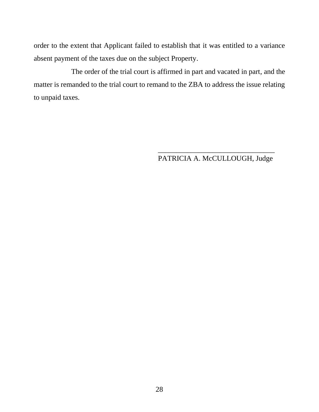order to the extent that Applicant failed to establish that it was entitled to a variance absent payment of the taxes due on the subject Property.

The order of the trial court is affirmed in part and vacated in part, and the matter is remanded to the trial court to remand to the ZBA to address the issue relating to unpaid taxes.

> \_\_\_\_\_\_\_\_\_\_\_\_\_\_\_\_\_\_\_\_\_\_\_\_\_\_\_\_\_\_\_\_ PATRICIA A. McCULLOUGH, Judge